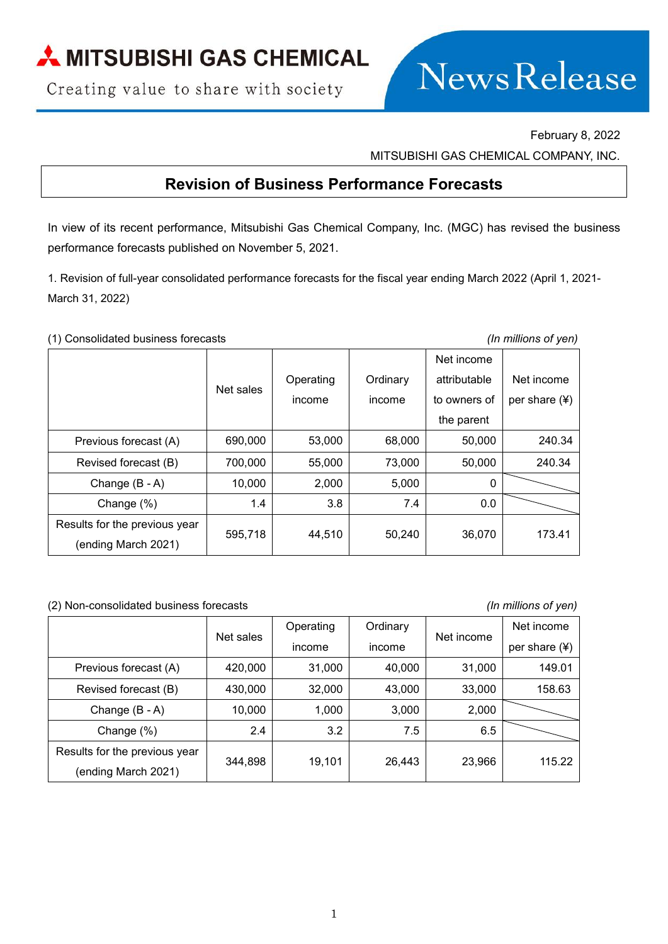Creating value to share with society



February 8, 2022

MITSUBISHI GAS CHEMICAL COMPANY, INC.

## **Revision of Business Performance Forecasts**

In view of its recent performance, Mitsubishi Gas Chemical Company, Inc. (MGC) has revised the business performance forecasts published on November 5, 2021.

1. Revision of full-year consolidated performance forecasts for the fiscal year ending March 2022 (April 1, 2021- March 31, 2022)

(1) Consolidated business forecasts *(In millions of yen)*

|                               |           |           |          | Net income   |               |
|-------------------------------|-----------|-----------|----------|--------------|---------------|
|                               | Net sales | Operating | Ordinary | attributable | Net income    |
|                               |           | income    | income   | to owners of | per share (¥) |
|                               |           |           |          | the parent   |               |
| Previous forecast (A)         | 690,000   | 53,000    | 68,000   | 50,000       | 240.34        |
| Revised forecast (B)          | 700,000   | 55,000    | 73,000   | 50,000       | 240.34        |
| Change $(B - A)$              | 10,000    | 2,000     | 5,000    | $\Omega$     |               |
| Change $(\%)$                 | 1.4       | 3.8       | 7.4      | 0.0          |               |
| Results for the previous year | 595,718   | 44,510    | 50,240   | 36,070       | 173.41        |
| (ending March 2021)           |           |           |          |              |               |

(2) Non-consolidated business forecasts *(In millions of yen)*

|                               | Net sales | Operating | Ordinary | Net income | Net income      |
|-------------------------------|-----------|-----------|----------|------------|-----------------|
|                               |           | income    | income   |            | per share $(*)$ |
| Previous forecast (A)         | 420,000   | 31,000    | 40,000   | 31,000     | 149.01          |
| Revised forecast (B)          | 430,000   | 32,000    | 43,000   | 33,000     | 158.63          |
| Change (B - A)                | 10,000    | 1,000     | 3,000    | 2,000      |                 |
| Change (%)                    | 2.4       | 3.2       | 7.5      | 6.5        |                 |
| Results for the previous year | 344,898   | 19,101    | 26,443   | 23,966     | 115.22          |
| (ending March 2021)           |           |           |          |            |                 |